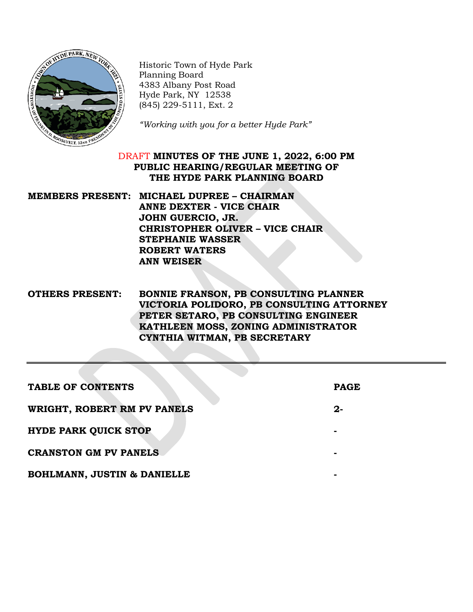

Historic Town of Hyde Park Planning Board 4383 Albany Post Road Hyde Park, NY 12538 (845) 229-5111, Ext. 2

*"Working with you for a better Hyde Park"*

## DRAFT **MINUTES OF THE JUNE 1, 2022, 6:00 PM PUBLIC HEARING/REGULAR MEETING OF THE HYDE PARK PLANNING BOARD**

## **MEMBERS PRESENT: MICHAEL DUPREE – CHAIRMAN ANNE DEXTER - VICE CHAIR JOHN GUERCIO, JR. CHRISTOPHER OLIVER – VICE CHAIR STEPHANIE WASSER ROBERT WATERS ANN WEISER**

## **OTHERS PRESENT: BONNIE FRANSON, PB CONSULTING PLANNER VICTORIA POLIDORO, PB CONSULTING ATTORNEY PETER SETARO, PB CONSULTING ENGINEER KATHLEEN MOSS, ZONING ADMINISTRATOR CYNTHIA WITMAN, PB SECRETARY**

| <b>TABLE OF CONTENTS</b>               | <b>PAGE</b> |
|----------------------------------------|-------------|
| WRIGHT, ROBERT RM PV PANELS            | $2 -$       |
| <b>HYDE PARK QUICK STOP</b>            |             |
| <b>CRANSTON GM PV PANELS</b>           |             |
| <b>BOHLMANN, JUSTIN &amp; DANIELLE</b> |             |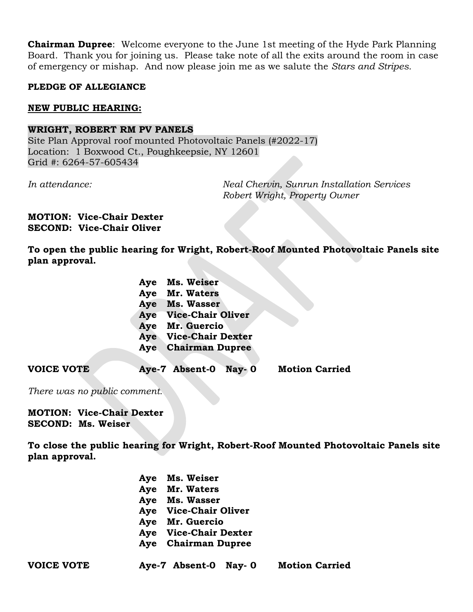**Chairman Dupree**: Welcome everyone to the June 1st meeting of the Hyde Park Planning Board. Thank you for joining us. Please take note of all the exits around the room in case of emergency or mishap. And now please join me as we salute the *Stars and Stripes.*

### **PLEDGE OF ALLEGIANCE**

### **NEW PUBLIC HEARING:**

#### **WRIGHT, ROBERT RM PV PANELS**

Site Plan Approval roof mounted Photovoltaic Panels (#2022-17) Location: 1 Boxwood Ct., Poughkeepsie, NY 12601 Grid #: 6264-57-605434

*In attendance: Neal Chervin, Sunrun Installation Services Robert Wright, Property Owner*

#### **MOTION: Vice-Chair Dexter SECOND: Vice-Chair Oliver**

**To open the public hearing for Wright, Robert-Roof Mounted Photovoltaic Panels site plan approval.**

| Aye Ms. Weiser               |
|------------------------------|
| Aye Mr. Waters               |
| Aye Ms. Wasser               |
| Aye Vice-Chair Oliver        |
| Aye Mr. Guercio              |
| <b>Aye</b> Vice-Chair Dexter |
| <b>Aye</b> Chairman Dupree   |
|                              |

**VOICE VOTE Aye-7 Absent-0 Nay- 0 Motion Carried**

*There was no public comment.*

### **MOTION: Vice-Chair Dexter SECOND: Ms. Weiser**

**To close the public hearing for Wright, Robert-Roof Mounted Photovoltaic Panels site plan approval.**

| Aye Ms. Weiser             |
|----------------------------|
| Aye Mr. Waters             |
| Aye Ms. Wasser             |
| Aye Vice-Chair Oliver      |
| Aye Mr. Guercio            |
| Aye Vice-Chair Dexter      |
| <b>Aye</b> Chairman Dupree |
|                            |

| <b>VOICE VOTE</b> | Aye-7 Absent-0 Nay-0 | <b>Motion Carried</b> |
|-------------------|----------------------|-----------------------|
|                   |                      |                       |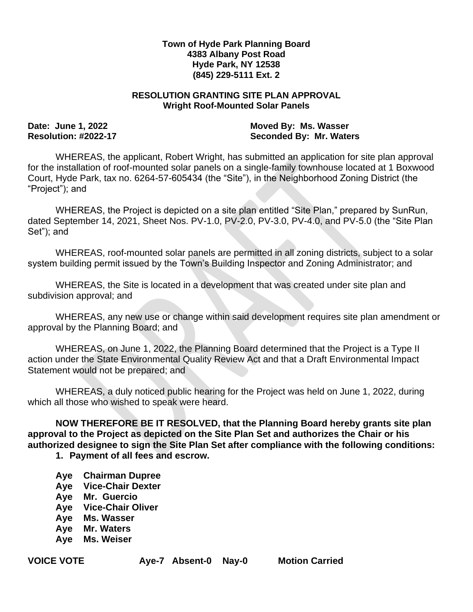### **Town of Hyde Park Planning Board 4383 Albany Post Road Hyde Park, NY 12538 (845) 229-5111 Ext. 2**

### **RESOLUTION GRANTING SITE PLAN APPROVAL Wright Roof-Mounted Solar Panels**

**Date: June 1, 2022 Moved By: Ms. Wasser** Resolution: #2022-17 **Seconded By: Mr. Waters** 

WHEREAS, the applicant, Robert Wright, has submitted an application for site plan approval for the installation of roof-mounted solar panels on a single-family townhouse located at 1 Boxwood Court, Hyde Park, tax no. 6264-57-605434 (the "Site"), in the Neighborhood Zoning District (the "Project"); and

WHEREAS, the Project is depicted on a site plan entitled "Site Plan," prepared by SunRun, dated September 14, 2021, Sheet Nos. PV-1.0, PV-2.0, PV-3.0, PV-4.0, and PV-5.0 (the "Site Plan Set"); and

WHEREAS, roof-mounted solar panels are permitted in all zoning districts, subject to a solar system building permit issued by the Town's Building Inspector and Zoning Administrator; and

WHEREAS, the Site is located in a development that was created under site plan and subdivision approval; and

WHEREAS, any new use or change within said development requires site plan amendment or approval by the Planning Board; and

WHEREAS, on June 1, 2022, the Planning Board determined that the Project is a Type II action under the State Environmental Quality Review Act and that a Draft Environmental Impact Statement would not be prepared; and

WHEREAS, a duly noticed public hearing for the Project was held on June 1, 2022, during which all those who wished to speak were heard.

**NOW THEREFORE BE IT RESOLVED, that the Planning Board hereby grants site plan approval to the Project as depicted on the Site Plan Set and authorizes the Chair or his authorized designee to sign the Site Plan Set after compliance with the following conditions:**

**1. Payment of all fees and escrow.**

- **Aye Chairman Dupree**
- **Aye Vice-Chair Dexter**
- **Aye Mr. Guercio**
- **Aye Vice-Chair Oliver**
- **Aye Ms. Wasser**
- **Aye Mr. Waters**
- **Aye Ms. Weiser**

**VOICE VOTE Aye-7 Absent-0 Nay-0 Motion Carried**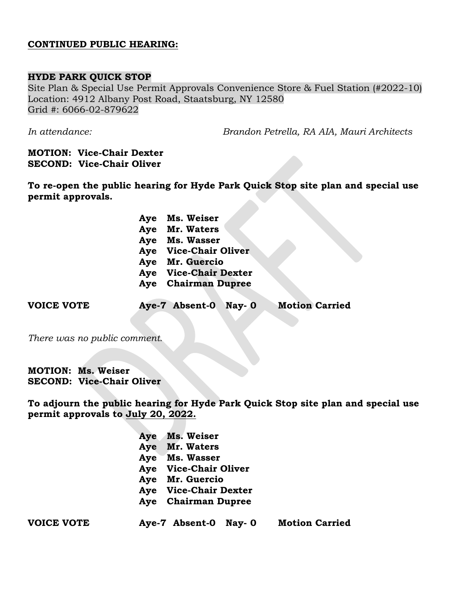### **CONTINUED PUBLIC HEARING:**

### **HYDE PARK QUICK STOP**

Site Plan & Special Use Permit Approvals Convenience Store & Fuel Station (#2022-10) Location: 4912 Albany Post Road, Staatsburg, NY 12580 Grid #: 6066-02-879622

*In attendance: Brandon Petrella, RA AIA, Mauri Architects*

### **MOTION: Vice-Chair Dexter SECOND: Vice-Chair Oliver**

**To re-open the public hearing for Hyde Park Quick Stop site plan and special use permit approvals.**

> **Aye Ms. Weiser Aye Mr. Waters Aye Ms. Wasser Aye Vice-Chair Oliver Aye Mr. Guercio Aye Vice-Chair Dexter Aye Chairman Dupree**

**VOICE VOTE Aye-7 Absent-0 Nay- 0 Motion Carried**

*There was no public comment.*

**MOTION: Ms. Weiser SECOND: Vice-Chair Oliver**

**To adjourn the public hearing for Hyde Park Quick Stop site plan and special use permit approvals to July 20, 2022.**

| Aye Ms. Weiser        |
|-----------------------|
| Aye Mr. Waters        |
| Aye Ms. Wasser        |
| Aye Vice-Chair Oliver |
| Aye Mr. Guercio       |
| Aye Vice-Chair Dexter |
| Aye Chairman Dupree   |
|                       |

**VOICE VOTE Aye-7 Absent-0 Nay- 0 Motion Carried**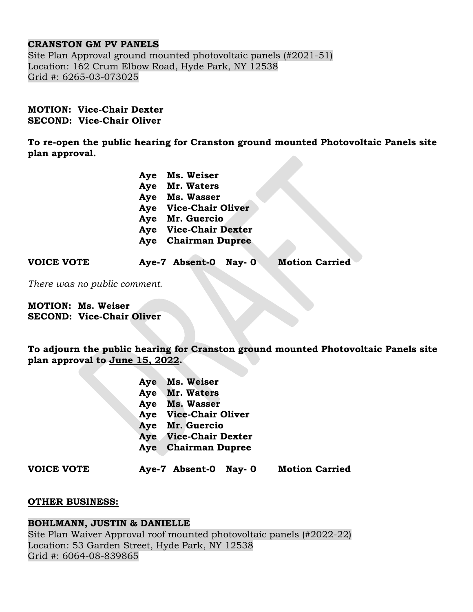## **CRANSTON GM PV PANELS**

Site Plan Approval ground mounted photovoltaic panels (#2021-51) Location: 162 Crum Elbow Road, Hyde Park, NY 12538 Grid #: 6265-03-073025

### **MOTION: Vice-Chair Dexter SECOND: Vice-Chair Oliver**

**To re-open the public hearing for Cranston ground mounted Photovoltaic Panels site plan approval.**

| Aye Ms. Weiser             |
|----------------------------|
| Aye Mr. Waters             |
| Aye Ms. Wasser             |
| Aye Vice-Chair Oliver      |
| Aye Mr. Guercio            |
| Aye Vice-Chair Dexter      |
| <b>Aye</b> Chairman Dupree |
|                            |

**VOICE VOTE Aye-7 Absent-0 Nay- 0 Motion Carried**

*There was no public comment.*

**MOTION: Ms. Weiser SECOND: Vice-Chair Oliver**

**To adjourn the public hearing for Cranston ground mounted Photovoltaic Panels site plan approval to June 15, 2022.**

| Ms. Weiser               |
|--------------------------|
| Mr. Waters               |
| <b>Ms. Wasser</b>        |
| <b>Vice-Chair Oliver</b> |
| Mr. Guercio              |
| <b>Vice-Chair Dexter</b> |
| <b>Chairman Dupree</b>   |
|                          |

**VOICE VOTE Aye-7 Absent-0 Nay- 0 Motion Carried**

## **OTHER BUSINESS:**

## **BOHLMANN, JUSTIN & DANIELLE**

Site Plan Waiver Approval roof mounted photovoltaic panels (#2022-22) Location: 53 Garden Street, Hyde Park, NY 12538 Grid #: 6064-08-839865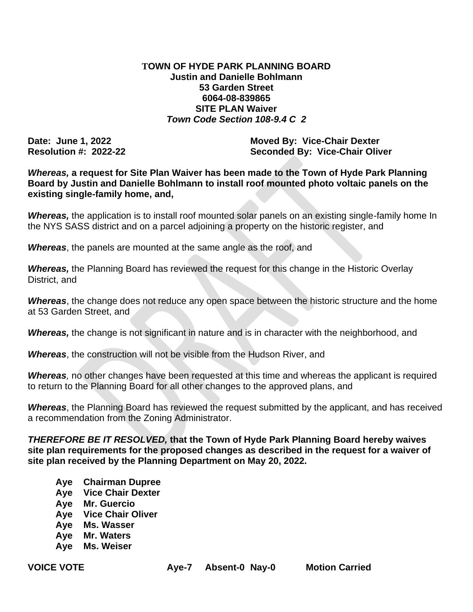## **TOWN OF HYDE PARK PLANNING BOARD Justin and Danielle Bohlmann 53 Garden Street 6064-08-839865 SITE PLAN Waiver**  *Town Code Section 108-9.4 C 2*

**Date: June 1, 2022 Moved By: Vice-Chair Dexter Resolution #: 2022-22 Seconded By: Vice-Chair Oliver** 

*Whereas,* **a request for Site Plan Waiver has been made to the Town of Hyde Park Planning Board by Justin and Danielle Bohlmann to install roof mounted photo voltaic panels on the existing single-family home, and,** 

*Whereas,* the application is to install roof mounted solar panels on an existing single-family home In the NYS SASS district and on a parcel adjoining a property on the historic register, and

*Whereas*, the panels are mounted at the same angle as the roof, and

**Whereas,** the Planning Board has reviewed the request for this change in the Historic Overlay District, and

*Whereas*, the change does not reduce any open space between the historic structure and the home at 53 Garden Street, and

**Whereas,** the change is not significant in nature and is in character with the neighborhood, and

*Whereas*, the construction will not be visible from the Hudson River, and

*Whereas,* no other changes have been requested at this time and whereas the applicant is required to return to the Planning Board for all other changes to the approved plans, and

*Whereas*, the Planning Board has reviewed the request submitted by the applicant, and has received a recommendation from the Zoning Administrator.

*THEREFORE BE IT RESOLVED,* **that the Town of Hyde Park Planning Board hereby waives site plan requirements for the proposed changes as described in the request for a waiver of site plan received by the Planning Department on May 20, 2022.**

- **Aye Chairman Dupree**
- **Aye Vice Chair Dexter**
- **Aye Mr. Guercio**
- **Aye Vice Chair Oliver**
- **Aye Ms. Wasser**
- **Aye Mr. Waters**
- **Aye Ms. Weiser**